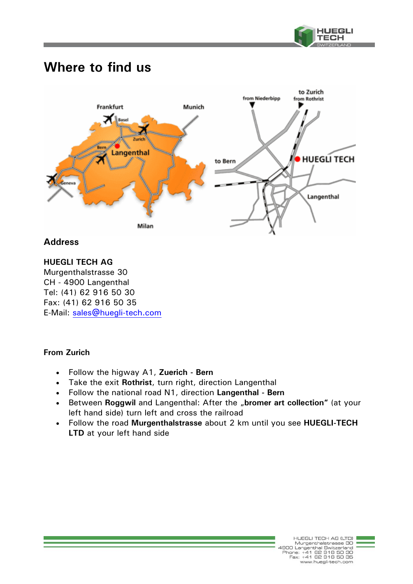

# **Where to find us**



## **Address**

### **HUEGLI TECH AG**

Murgenthalstrasse 30 CH - 4900 Langenthal Tel: (41) 62 916 50 30 Fax: (41) 62 916 50 35 E-Mail: sales@huegli-tech.com

### **From Zurich**

- Follow the higway A1, **Zuerich Bern**
- Take the exit **Rothrist**, turn right, direction Langenthal
- Follow the national road N1, direction **Langenthal Bern**
- Between **Roggwil** and Langenthal: After the "bromer art collection" (at your left hand side) turn left and cross the railroad
- Follow the road **Murgenthalstrasse** about 2 km until you see **HUEGLI-TECH LTD** at your left hand side

HUEGU TECH AG ILTOL HUEGLI TECH AG (LTD)<br>Murgenthal Switzerland<br>Phone: +41 62 916 50 30<br>Fax: +41 62 916 50 35 www.huegli-tech.com

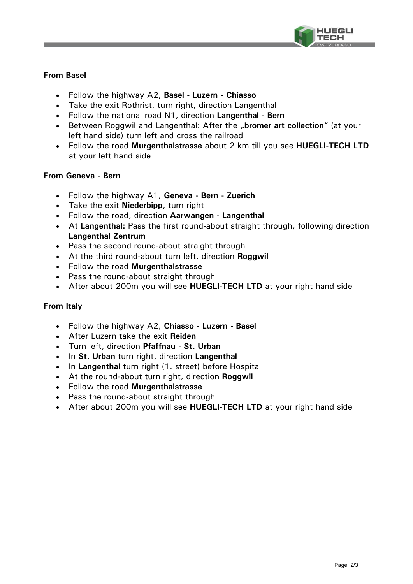

#### **From Basel**

- Follow the highway A2, **Basel Luzern Chiasso**
- Take the exit Rothrist, turn right, direction Langenthal
- Follow the national road N1, direction **Langenthal Bern**
- Between Roggwil and Langenthal: After the "**bromer art collection"** (at your left hand side) turn left and cross the railroad
- Follow the road **Murgenthalstrasse** about 2 km till you see **HUEGLI-TECH LTD** at your left hand side

#### **From Geneva - Bern**

- Follow the highway A1, **Geneva Bern Zuerich**
- Take the exit **Niederbipp**, turn right
- Follow the road, direction **Aarwangen Langenthal**
- At **Langenthal:** Pass the first round-about straight through, following direction **Langenthal Zentrum**
- Pass the second round-about straight through
- At the third round-about turn left, direction **Roggwil**
- Follow the road **Murgenthalstrasse**
- Pass the round-about straight through
- After about 200m you will see **HUEGLI-TECH LTD** at your right hand side

#### **From Italy**

- Follow the highway A2, **Chiasso Luzern Basel**
- After Luzern take the exit **Reiden**
- Turn left, direction **Pfaffnau St. Urban**
- $\cdot$  In St. Urban turn right, direction Langenthal
- In Langenthal turn right (1. street) before Hospital
- At the round-about turn right, direction **Roggwil**
- Follow the road **Murgenthalstrasse**
- Pass the round-about straight through
- After about 200m you will see **HUEGLI-TECH LTD** at your right hand side